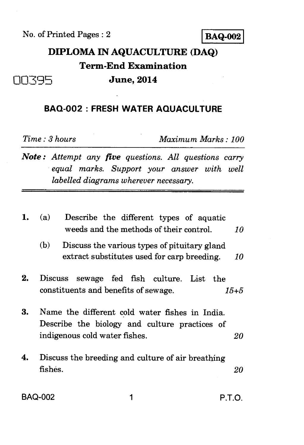No. of Printed Pages : 2 **BAQ-002** 

**DIPLOMA IN AQUACULTURE (DAQ) Term-End Examination On7q5 June, 2014** 

## **BAQ-002 : FRESH WATER AQUACULTURE**

*Time : 3 hours Maximum Marks : 100* 

*Note : Attempt any five questions. All questions carry equal marks. Support your answer with well labelled diagrams wherever necessary.* 

| 1. | (a)<br>Describe the different types of aquatic<br>weeds and the methods of their control.<br>10                                        |
|----|----------------------------------------------------------------------------------------------------------------------------------------|
|    | (b)<br>Discuss the various types of pituitary gland<br>extract substitutes used for carp breeding.<br>10                               |
| 2. | <b>Discuss</b><br>sewage fed fish culture. List<br>the<br>constituents and benefits of sewage.<br>$15 + 5$                             |
| 3. | Name the different cold water fishes in India.<br>Describe the biology and culture practices of<br>indigenous cold water fishes.<br>20 |
| 4. | Discuss the breeding and culture of air breathing<br>fishes.<br>20                                                                     |
|    | BAQ-002<br>PTO                                                                                                                         |